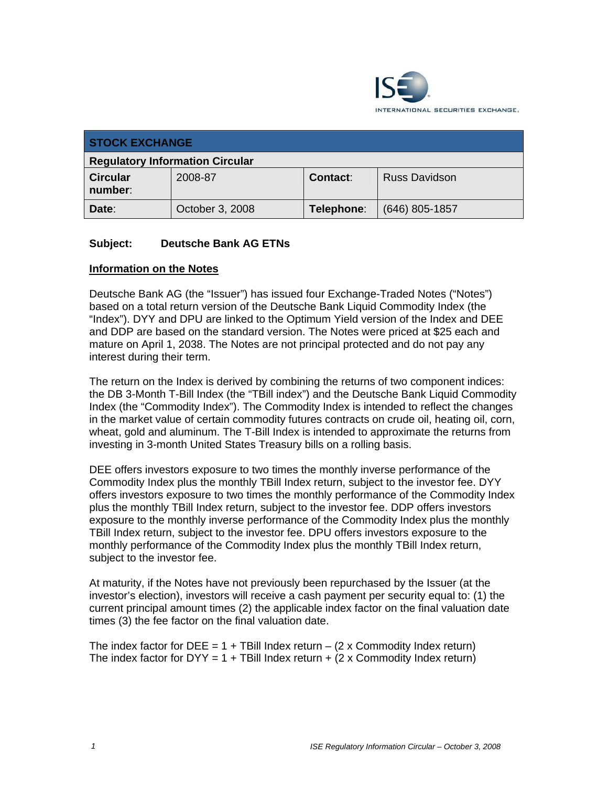

| <b>STOCK EXCHANGE</b>                  |                 |            |                      |  |
|----------------------------------------|-----------------|------------|----------------------|--|
| <b>Regulatory Information Circular</b> |                 |            |                      |  |
| <b>Circular</b><br>number:             | 2008-87         | Contact:   | <b>Russ Davidson</b> |  |
| Date:                                  | October 3, 2008 | Telephone: | $(646)$ 805-1857     |  |

# **Subject: Deutsche Bank AG ETNs**

# **Information on the Notes**

Deutsche Bank AG (the "Issuer") has issued four Exchange-Traded Notes ("Notes") based on a total return version of the Deutsche Bank Liquid Commodity Index (the "Index"). DYY and DPU are linked to the Optimum Yield version of the Index and DEE and DDP are based on the standard version. The Notes were priced at \$25 each and mature on April 1, 2038. The Notes are not principal protected and do not pay any interest during their term.

The return on the Index is derived by combining the returns of two component indices: the DB 3-Month T-Bill Index (the "TBill index") and the Deutsche Bank Liquid Commodity Index (the "Commodity Index"). The Commodity Index is intended to reflect the changes in the market value of certain commodity futures contracts on crude oil, heating oil, corn, wheat, gold and aluminum. The T-Bill Index is intended to approximate the returns from investing in 3-month United States Treasury bills on a rolling basis.

DEE offers investors exposure to two times the monthly inverse performance of the Commodity Index plus the monthly TBill Index return, subject to the investor fee. DYY offers investors exposure to two times the monthly performance of the Commodity Index plus the monthly TBill Index return, subject to the investor fee. DDP offers investors exposure to the monthly inverse performance of the Commodity Index plus the monthly TBill Index return, subject to the investor fee. DPU offers investors exposure to the monthly performance of the Commodity Index plus the monthly TBill Index return, subject to the investor fee.

At maturity, if the Notes have not previously been repurchased by the Issuer (at the investor's election), investors will receive a cash payment per security equal to: (1) the current principal amount times (2) the applicable index factor on the final valuation date times (3) the fee factor on the final valuation date.

The index factor for DEE =  $1 +$  TBill Index return –  $(2 \times$  Commodity Index return) The index factor for  $DYY = 1 + TBill Index return + (2 x {Commodity Index return})$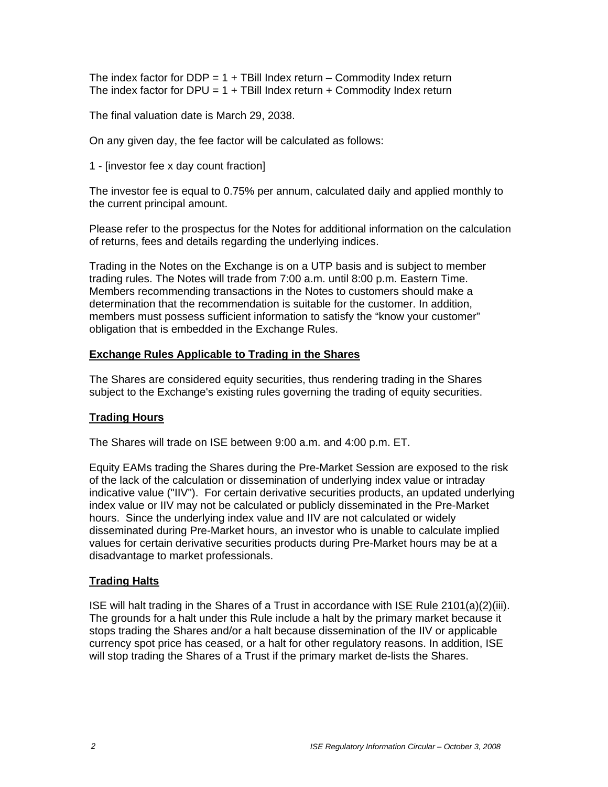The index factor for DDP =  $1 +$  TBill Index return – Commodity Index return The index factor for DPU =  $1 +$  TBill Index return  $+$  Commodity Index return

The final valuation date is March 29, 2038.

On any given day, the fee factor will be calculated as follows:

1 - [investor fee x day count fraction]

The investor fee is equal to 0.75% per annum, calculated daily and applied monthly to the current principal amount.

Please refer to the prospectus for the Notes for additional information on the calculation of returns, fees and details regarding the underlying indices.

Trading in the Notes on the Exchange is on a UTP basis and is subject to member trading rules. The Notes will trade from 7:00 a.m. until 8:00 p.m. Eastern Time. Members recommending transactions in the Notes to customers should make a determination that the recommendation is suitable for the customer. In addition, members must possess sufficient information to satisfy the "know your customer" obligation that is embedded in the Exchange Rules.

# **Exchange Rules Applicable to Trading in the Shares**

The Shares are considered equity securities, thus rendering trading in the Shares subject to the Exchange's existing rules governing the trading of equity securities.

# **Trading Hours**

The Shares will trade on ISE between 9:00 a.m. and 4:00 p.m. ET.

Equity EAMs trading the Shares during the Pre-Market Session are exposed to the risk of the lack of the calculation or dissemination of underlying index value or intraday indicative value ("IIV"). For certain derivative securities products, an updated underlying index value or IIV may not be calculated or publicly disseminated in the Pre-Market hours. Since the underlying index value and IIV are not calculated or widely disseminated during Pre-Market hours, an investor who is unable to calculate implied values for certain derivative securities products during Pre-Market hours may be at a disadvantage to market professionals.

# **Trading Halts**

ISE will halt trading in the Shares of a Trust in accordance with ISE Rule 2101(a)(2)(iii). The grounds for a halt under this Rule include a halt by the primary market because it stops trading the Shares and/or a halt because dissemination of the IIV or applicable currency spot price has ceased, or a halt for other regulatory reasons. In addition, ISE will stop trading the Shares of a Trust if the primary market de-lists the Shares.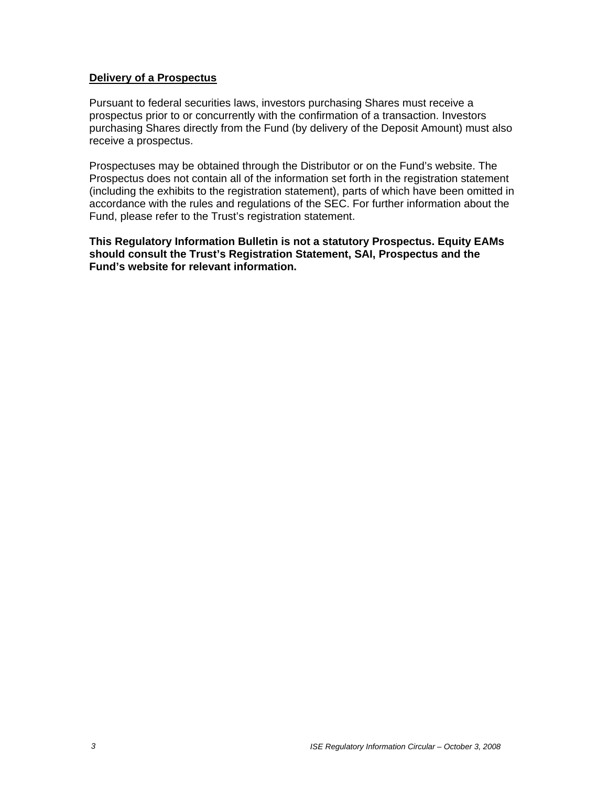### **Delivery of a Prospectus**

Pursuant to federal securities laws, investors purchasing Shares must receive a prospectus prior to or concurrently with the confirmation of a transaction. Investors purchasing Shares directly from the Fund (by delivery of the Deposit Amount) must also receive a prospectus.

Prospectuses may be obtained through the Distributor or on the Fund's website. The Prospectus does not contain all of the information set forth in the registration statement (including the exhibits to the registration statement), parts of which have been omitted in accordance with the rules and regulations of the SEC. For further information about the Fund, please refer to the Trust's registration statement.

**This Regulatory Information Bulletin is not a statutory Prospectus. Equity EAMs should consult the Trust's Registration Statement, SAI, Prospectus and the Fund's website for relevant information.**